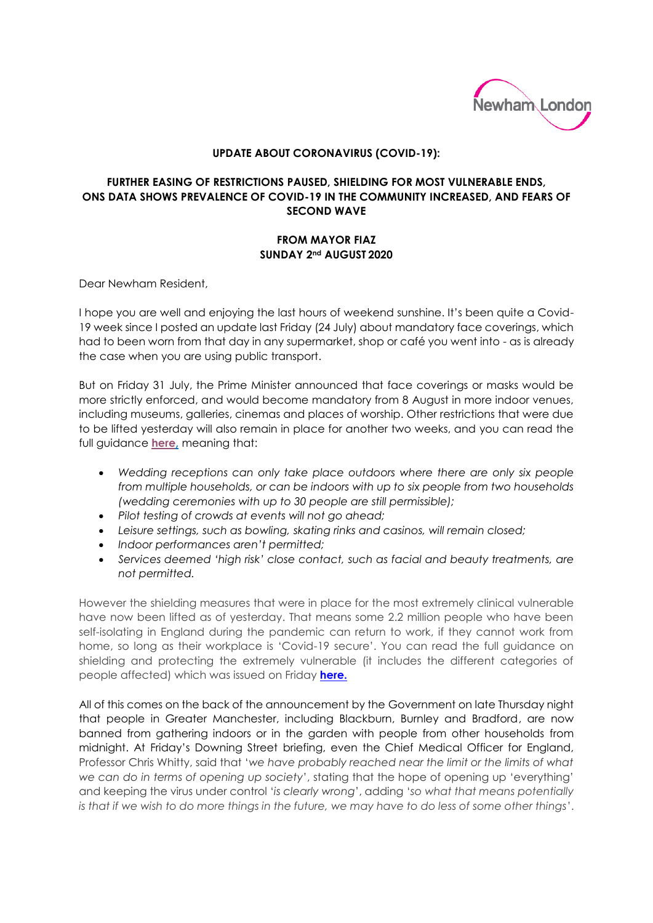

## **UPDATE ABOUT CORONAVIRUS (COVID-19):**

## **FURTHER EASING OF RESTRICTIONS PAUSED, SHIELDING FOR MOST VULNERABLE ENDS, ONS DATA SHOWS PREVALENCE OF COVID-19 IN THE COMMUNITY INCREASED, AND FEARS OF SECOND WAVE**

## **FROM MAYOR FIAZ SUNDAY 2nd AUGUST 2020**

Dear Newham Resident,

I hope you are well and enjoying the last hours of weekend sunshine. It's been quite a Covid-19 week since I posted an update last Friday (24 July) about mandatory face coverings, which had to been worn from that day in any supermarket, shop or café you went into - as is already the case when you are using public transport.

But on Friday 31 July, the Prime Minister announced that face coverings or masks would be more strictly enforced, and would become mandatory from 8 August in more indoor venues, including museums, galleries, cinemas and places of worship. Other restrictions that were due to be lifted yesterday will also remain in place for another two weeks, and you can read the full guidance **[here,](https://www.gov.uk/guidance/31-july-announcement)** meaning that:

- *Wedding receptions can only take place outdoors where there are only six people from multiple households, or can be indoors with up to six people from two households (wedding ceremonies with up to 30 people are still permissible);*
- *Pilot testing of crowds at events will not go ahead;*
- *Leisure settings, such as bowling, skating rinks and casinos, will remain closed;*
- *Indoor performances aren't permitted;*
- *Services deemed 'high risk' close contact, such as facial and beauty treatments, are not permitted.*

However the shielding measures that were in place for the most extremely clinical vulnerable have now been lifted as of yesterday. That means some 2.2 million people who have been self-isolating in England during the pandemic can return to work, if they cannot work from home, so long as their workplace is 'Covid-19 secure'. You can read the full guidance on shielding and protecting the extremely vulnerable (it includes the different categories of people affected) which was issued on Friday **[here.](https://tinyurl.com/s5pc7wh)**

All of this comes on the back of the announcement by the Government on late Thursday night that people in Greater Manchester, including Blackburn, Burnley and Bradford, are now banned from gathering indoors or in the garden with people from other households from midnight. At Friday's Downing Street briefing, even the Chief Medical Officer for England, Professor Chris Whitty, said that '*we have probably reached near the limit or the limits of what we can do in terms of opening up society*', stating that the hope of opening up 'everything' and keeping the virus under control '*is clearly wrong*', adding '*so what that means potentially is that if we wish to do more things in the future, we may have to do less of some other things*'.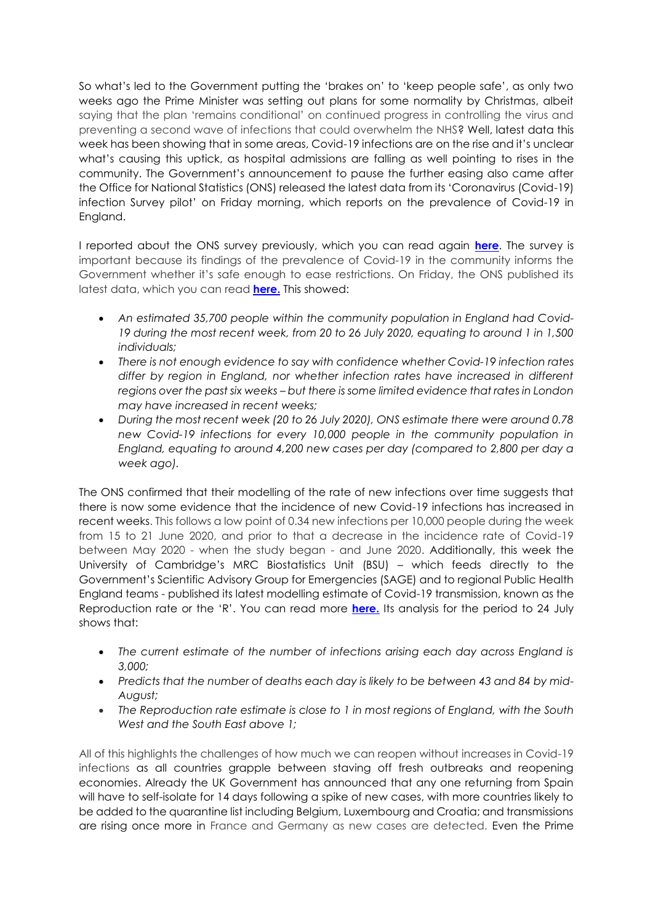So what's led to the Government putting the 'brakes on' to 'keep people safe', as only two weeks ago the Prime Minister was setting out plans for some normality by Christmas, albeit saying that the plan 'remains conditional' on continued progress in controlling the virus and preventing a second wave of infections that could overwhelm the NHS? Well, latest data this week has been showing that in some areas, Covid-19 infections are on the rise and it's unclear what's causing this uptick, as hospital admissions are falling as well pointing to rises in the community. The Government's announcement to pause the further easing also came after the Office for National Statistics (ONS) released the latest data from its 'Coronavirus (Covid-19) infection Survey pilot' on Friday morning, which reports on the prevalence of Covid-19 in England.

I reported about the ONS survey previously, which you can read again **[here](https://tinyurl.com/y3zc7gox)**. The survey is important because its findings of the prevalence of Covid-19 in the community informs the Government whether it's safe enough to ease restrictions. On Friday, the ONS published its latest data, which you can read **[here.](https://tinyurl.com/y2rqqpsa)** This showed:

- *An estimated 35,700 people within the community population in England had Covid-19 during the most recent week, from 20 to 26 July 2020, equating to around 1 in 1,500 individuals;*
- *There is not enough evidence to say with confidence whether Covid-19 infection rates differ by region in England, nor whether infection rates have increased in different regions over the past six weeks – but there is some limited evidence that rates in London may have increased in recent weeks;*
- *During the most recent week (20 to 26 July 2020), ONS estimate there were around 0.78 new Covid-19 infections for every 10,000 people in the community population in England, equating to around 4,200 new cases per day (compared to 2,800 per day a week ago).*

The ONS confirmed that their modelling of the rate of new infections over time suggests that there is now some evidence that the incidence of new Covid-19 infections has increased in recent weeks. This follows a low point of 0.34 new infections per 10,000 people during the week from 15 to 21 June 2020, and prior to that a decrease in the incidence rate of Covid-19 between May 2020 - when the study began - and June 2020. Additionally, this week the University of Cambridge's MRC Biostatistics Unit (BSU) – which feeds directly to the Government's Scientific Advisory Group for Emergencies (SAGE) and to regional Public Health England teams - published its latest modelling estimate of Covid-19 transmission, known as the Reproduction rate or the 'R'. You can read more **[here.](https://tinyurl.com/yd2ddhdp)** Its analysis for the period to 24 July shows that:

- The current estimate of the number of infections arising each day across England is *3,000;*
- *Predicts that the number of deaths each day is likely to be between 43 and 84 by mid-August;*
- The Reproduction rate estimate is close to 1 in most regions of England, with the South *West and the South East above 1;*

All of this highlights the challenges of how much we can reopen without increases in Covid-19 infections as all countries grapple between staving off fresh outbreaks and reopening economies. Already the UK Government has announced that any one returning from Spain will have to self-isolate for 14 days following a spike of new cases, with more countries likely to be added to the quarantine list including Belgium, Luxembourg and Croatia; and transmissions are rising once more in France and Germany as new cases are detected. Even the Prime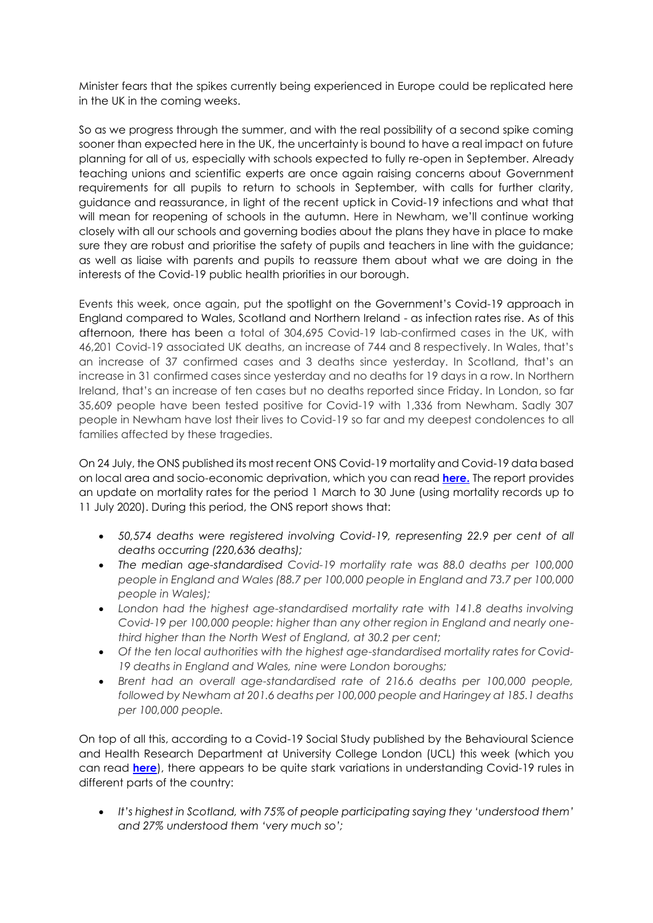Minister fears that the spikes currently being experienced in Europe could be replicated here in the UK in the coming weeks.

So as we progress through the summer, and with the real possibility of a second spike coming sooner than expected here in the UK, the uncertainty is bound to have a real impact on future planning for all of us, especially with schools expected to fully re-open in September. Already teaching unions and scientific experts are once again raising concerns about Government requirements for all pupils to return to schools in September, with calls for further clarity, guidance and reassurance, in light of the recent uptick in Covid-19 infections and what that will mean for reopening of schools in the autumn. Here in Newham, we'll continue working closely with all our schools and governing bodies about the plans they have in place to make sure they are robust and prioritise the safety of pupils and teachers in line with the guidance; as well as liaise with parents and pupils to reassure them about what we are doing in the interests of the Covid-19 public health priorities in our borough.

Events this week, once again, put the spotlight on the Government's Covid-19 approach in England compared to Wales, Scotland and Northern Ireland - as infection rates rise. As of this afternoon, there has been a total of 304,695 Covid-19 lab-confirmed cases in the UK, with 46,201 Covid-19 associated UK deaths, an increase of 744 and 8 respectively. In Wales, that's an increase of 37 confirmed cases and 3 deaths since yesterday. In Scotland, that's an increase in 31 confirmed cases since yesterday and no deaths for 19 days in a row. In Northern Ireland, that's an increase of ten cases but no deaths reported since Friday. In London, so far 35,609 people have been tested positive for Covid-19 with 1,336 from Newham. Sadly 307 people in Newham have lost their lives to Covid-19 so far and my deepest condolences to all families affected by these tragedies.

On 24 July, the ONS published its most recent ONS Covid-19 mortality and Covid-19 data based on local area and socio-economic deprivation, which you can read **[here.](https://tinyurl.com/y4eowudr)** The report provides an update on mortality rates for the period 1 March to 30 June (using mortality records up to 11 July 2020). During this period, the ONS report shows that:

- *50,574 deaths were registered involving Covid-19, representing 22.9 per cent of all deaths occurring (220,636 deaths);*
- *The median age-standardised Covid-19 mortality rate was 88.0 deaths per 100,000 people in England and Wales (88.7 per 100,000 people in England and 73.7 per 100,000 people in Wales);*
- *London had the highest age-standardised mortality rate with 141.8 deaths involving Covid-19 per 100,000 people: higher than any other region in England and nearly onethird higher than the North West of England, at 30.2 per cent;*
- *Of the ten local authorities with the highest age-standardised mortality rates for Covid-19 deaths in England and Wales, nine were London boroughs;*
- *Brent had an overall age-standardised rate of 216.6 deaths per 100,000 people, followed by Newham at 201.6 deaths per 100,000 people and Haringey at 185.1 deaths per 100,000 people.*

On top of all this, according to a Covid-19 Social Study published by the Behavioural Science and Health Research Department at University College London (UCL) this week (which you can read **[here](https://tinyurl.com/y3abn3eg)**), there appears to be quite stark variations in understanding Covid-19 rules in different parts of the country:

 *It's highest in Scotland, with 75% of people participating saying they 'understood them' and 27% understood them 'very much so';*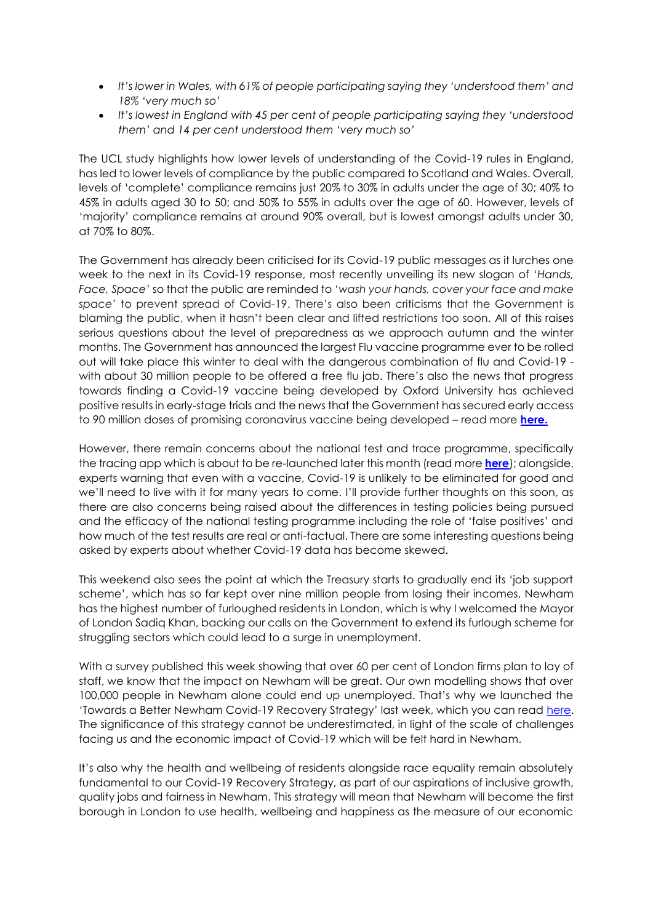- *It's lower in Wales, with 61% of people participating saying they 'understood them' and 18% 'very much so'*
- *It's lowest in England with 45 per cent of people participating saying they 'understood them' and 14 per cent understood them 'very much so'*

The UCL study highlights how lower levels of understanding of the Covid-19 rules in England, has led to lower levels of compliance by the public compared to Scotland and Wales. Overall, levels of 'complete' compliance remains just 20% to 30% in adults under the age of 30; 40% to 45% in adults aged 30 to 50; and 50% to 55% in adults over the age of 60. However, levels of 'majority' compliance remains at around 90% overall, but is lowest amongst adults under 30, at 70% to 80%.

The Government has already been criticised for its Covid-19 public messages as it lurches one week to the next in its Covid-19 response, most recently unveiling its new slogan of '*Hands, Face, Space'* so that the public are reminded to '*wash your hands, cover your face and make space*' to prevent spread of Covid-19. There's also been criticisms that the Government is blaming the public, when it hasn't been clear and lifted restrictions too soon. All of this raises serious questions about the level of preparedness as we approach autumn and the winter months. The Government has announced the largest Flu vaccine programme ever to be rolled out will take place this winter to deal with the dangerous combination of flu and Covid-19 with about 30 million people to be offered a free flu jab. There's also the news that progress towards finding a Covid-19 vaccine being developed by Oxford University has achieved positive results in early-stage trials and the news that the Government has secured early access to 90 million doses of promising coronavirus vaccine being developed – read more **[here.](https://tinyurl.com/y6rvepav)**

However, there remain concerns about the national test and trace programme, specifically the tracing app which is about to be re-launched later this month (read more **[here](https://tinyurl.com/y4h5wbnk)**); alongside, experts warning that even with a vaccine, Covid-19 is unlikely to be eliminated for good and we'll need to live with it for many years to come. I'll provide further thoughts on this soon, as there are also concerns being raised about the differences in testing policies being pursued and the efficacy of the national testing programme including the role of 'false positives' and how much of the test results are real or anti-factual. There are some interesting questions being asked by experts about whether Covid-19 data has become skewed.

This weekend also sees the point at which the Treasury starts to gradually end its 'job support scheme', which has so far kept over nine million people from losing their incomes. Newham has the highest number of furloughed residents in London, which is why I welcomed the Mayor of London Sadiq Khan, backing our calls on the Government to extend its furlough scheme for struggling sectors which could lead to a surge in unemployment.

With a survey published this week showing that over 60 per cent of London firms plan to lay of staff, we know that the impact on Newham will be great. Our own modelling shows that over 100,000 people in Newham alone could end up unemployed. That's why we launched the 'Towards a Better Newham Covid-19 Recovery Strategy' last week, which you can read [here.](https://www.newham.gov.uk/council/community-wealth-building/2) The significance of this strategy cannot be underestimated, in light of the scale of challenges facing us and the economic impact of Covid-19 which will be felt hard in Newham.

It's also why the health and wellbeing of residents alongside race equality remain absolutely fundamental to our Covid-19 Recovery Strategy, as part of our aspirations of inclusive growth, quality jobs and fairness in Newham. This strategy will mean that Newham will become the first borough in London to use health, wellbeing and happiness as the measure of our economic